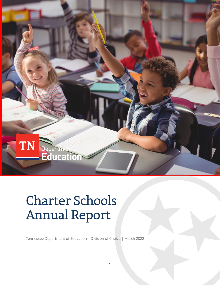

# Charter Schools Annual Report

Tennessee Department of Education | Division of Choice | March 2022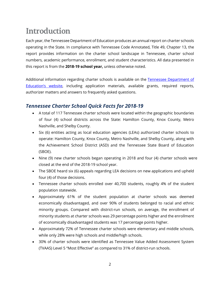## **Introduction**

Each year, the Tennessee Department of Education produces an annual report on charter schools operating in the State. In compliance with Tennessee Code Annotated, Title 49, Chapter 13, the report provides information on the charter school landscape in Tennessee, charter school numbers, academic performance, enrollment, and student characteristics. All data presented in this report is from the **2018-19 school year,** unless otherwise noted.

Additional information regarding charter schools is available on the [Tennessee Department of](https://www.tn.gov/content/tn/education/school-options/charter-schools.html)  [Education's website,](https://www.tn.gov/content/tn/education/school-options/charter-schools.html) including application materials, available grants, required reports, authorizer matters and answers to frequently asked questions.

### *Tennessee Charter School Quick Facts for 2018-19*

- A total of 117 Tennessee charter schools were located within the geographic boundaries of four (4) school districts across the State: Hamilton County, Knox County, Metro Nashville, and Shelby County.
- Six (6) entities acting as local education agencies (LEAs) authorized charter schools to operate: Hamilton County, Knox County, Metro Nashville, and Shelby County, along with the Achievement School District (ASD) and the Tennessee State Board of Education (SBOE).
- Nine (9) new charter schools began operating in 2018 and four (4) charter schools were closed at the end of the 2018-19 school year.
- The SBOE heard six (6) appeals regarding LEA decisions on new applications and upheld four (4) of those decisions.
- Tennessee charter schools enrolled over 40,700 students, roughly 4% of the student population statewide.
- Approximately 61% of the student population at charter schools was deemed economically disadvantaged, and over 90% of students belonged to racial and ethnic minority groups. Compared with district-run schools, on average, the enrollment of minority students at charter schools was 29 percentage points higher and the enrollment of economically disadvantaged students was 17 percentage points higher.
- Approximately 72% of Tennessee charter schools were elementary and middle schools, while only 28% were high schools and middle/high schools.
- 30% of charter schools were identified as Tennessee Value Added Assessment System (TVAAS) Level 5 "Most Effective" as compared to 31% of district-run schools.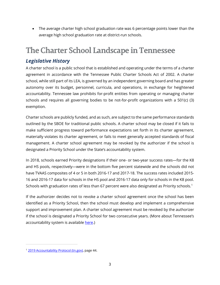• The average charter high school graduation rate was 6 percentage points lower than the average high school graduation rate at district-run schools.

## **The Charter School Landscape in Tennessee**

### *Legislative History*

A charter school is a public school that is established and operating under the terms of a charter agreement in accordance with the Tennessee Public Charter Schools Act of 2002. A charter school, while still part of its LEA, is governed by an independent governing board and has greater autonomy over its budget, personnel, curricula, and operations, in exchange for heightened accountability. Tennessee law prohibits for-profit entities from operating or managing charter schools and requires all governing bodies to be not-for-profit organizations with a 501(c) (3) exemption.

Charter schools are publicly funded, and as such, are subject to the same performance standards outlined by the SBOE for traditional public schools. A charter school may be closed if it fails to make sufficient progress toward performance expectations set forth in its charter agreement, materially violates its charter agreement, or fails to meet generally accepted standards of fiscal management. A charter school agreement may be revoked by the authorizer if the school is designated a Priority School under the State's accountability system.

In 2018, schools earned Priority designations if their one- or two-year success rates—for the K8 and HS pools, respectively—were in the bottom five percent statewide and the schools did not have TVAAS composites of 4 or 5 in both 2016-17 and 2017-18. The success rates included 2015- 16 and 2016-17 data for schools in the HS pool and 2016-17 data only for schools in the K8 pool. Schools with graduation rates of less than 67 percent were also designated as Priority schools.<sup>[1](#page-2-0)</sup>

If the authorizer decides not to revoke a charter school agreement once the school has been identified as a Priority School, then the school must develop and implement a comprehensive support and improvement plan. A charter school agreement must be revoked by the authorizer if the school is designated a Priority School for two consecutive years. (More about Tennessee's accountability system is available [here.](https://www.tn.gov/education/data/accountability.html))

<span id="page-2-0"></span><sup>&</sup>lt;sup>1</sup> [2019 Accountability Protocol \(tn.gov\),](https://www.tn.gov/content/dam/tn/education/accountability/Accountability_Protocol_2019.pdf) page 44.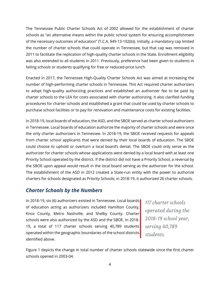The Tennessee Public Charter Schools Act of 2002 allowed for the establishment of charter schools as "an alternative means within the public school system for ensuring accomplishment of the necessary outcomes of education" (T.C.A. §49-13-102(b)). Initially, a mandatory cap limited the number of charter schools that could operate in Tennessee, but that cap was removed in 2011 to facilitate the replication of high-quality charter schools in the State. Enrollment eligibility was also extended to all students in 2011. Previously, preference had been given to students in failing schools or students qualifying for free or reduced-price lunch.

Enacted in 2017, the Tennessee High-Quality Charter Schools Act was aimed at increasing the number of high-performing charter schools in Tennessee. This Act required charter authorizers to adopt high-quality authorizing practices and established an authorizer fee to be paid by charter schools to the LEA for costs associated with charter authorizing. It also clarified funding procedures for charter schools and established a grant that could be used by charter schools to purchase school facilities or to pay for renovation and maintenance costs for existing facilities.

In 2018-19, local boards of education, the ASD, and the SBOE served as charter school authorizers in Tennessee. Local boards of education authorize the majority of charter schools and were once the only charter authorizers in Tennessee. In 2018-19, the SBOE received requests for appeals from charter school applicants that were denied by their local boards of education. The SBOE could choose to uphold or overturn a local board's denial. The SBOE could only serve as the authorizer for charter schools whose applications were denied by a local board with at least one Priority School operated by the district. If the district did not have a Priority School, a reversal by the SBOE upon appeal would result in the local board serving as the authorizer for the school. The establishment of the ASD in 2012 created a State-run entity with the power to authorize charters for schools designated as Priority Schools; in 2018-19, it authorized 26 charter schools.

### *Charter Schools by the Numbers*

In 2018-19, six (6) authorizers existed in Tennessee. Local boards of education acting as authorizers included Hamilton County, Knox County, Metro Nashville, and Shelby County. Charter schools were also authorized by the ASD and the SBOE. In 2018- 19, a total of 117 charter schools serving 40,789 students operated within the geographic boundaries of the school districts identified above.

*117 charter schools operated during the 2018-19 school year, serving 40,789 students.*

Figure 1 depicts the change in total number of charter schools statewide since the first charter schools opened in 2003-04.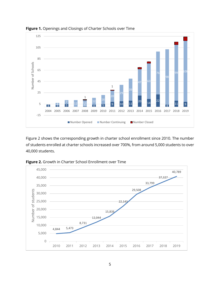

**Figure 1.** Openings and Closings of Charter Schools over Time

Figure 2 shows the corresponding growth in charter school enrollment since 2010. The number of students enrolled at charter schools increased over 700%, from around 5,000 students to over 40,000 students.



**Figure 2.** Growth in Charter School Enrollment over Time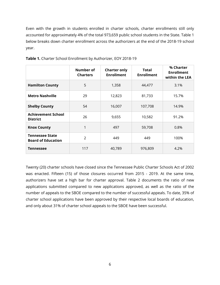Even with the growth in students enrolled in charter schools, charter enrollments still only accounted for approximately 4% of the total 973,659 public school students in the State. Table 1 below breaks down charter enrollment across the authorizers at the end of the 2018-19 school year.

|                                                     | Number of<br><b>Charters</b> | <b>Charter only</b><br><b>Enrollment</b> | <b>Total</b><br><b>Enrollment</b> | % Charter<br><b>Enrollment</b><br>within the LEA |
|-----------------------------------------------------|------------------------------|------------------------------------------|-----------------------------------|--------------------------------------------------|
| <b>Hamilton County</b>                              | 5                            | 1,358                                    | 44,477                            | 3.1%                                             |
| <b>Metro Nashville</b>                              | 29                           | 12,823                                   | 81,733                            | 15.7%                                            |
| <b>Shelby County</b>                                | 54                           | 16,007                                   | 107,708                           | 14.9%                                            |
| <b>Achievement School</b><br><b>District</b>        | 26                           | 9,655                                    | 10,582                            | 91.2%                                            |
| <b>Knox County</b>                                  | 1                            | 497                                      | 59,708                            | 0.8%                                             |
| <b>Tennessee State</b><br><b>Board of Education</b> | $\overline{2}$               | 449                                      | 449                               | 100%                                             |
| <b>Tennessee</b>                                    | 117                          | 40,789                                   | 976,809                           | 4.2%                                             |

**Table 1.** Charter School Enrollment by Authorizer, EOY 2018-19

Twenty (20) charter schools have closed since the Tennessee Public Charter Schools Act of 2002 was enacted. Fifteen (15) of those closures occurred from 2015 - 2019. At the same time, authorizers have set a high bar for charter approval. Table 2 documents the ratio of new applications submitted compared to new applications approved, as well as the ratio of the number of appeals to the SBOE compared to the number of successful appeals. To date, 35% of charter school applications have been approved by their respective local boards of education, and only about 31% of charter school appeals to the SBOE have been successful.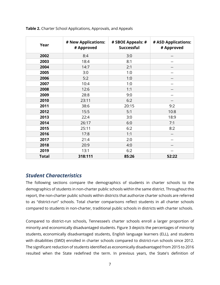| Year         | # New Applications:<br># Approved | # SBOE Appeals: #<br><b>Successful</b> | # ASD Applications:<br># Approved |
|--------------|-----------------------------------|----------------------------------------|-----------------------------------|
| 2002         | 8:4                               | 3:0                                    |                                   |
| 2003         | 18:4                              | 8:1                                    |                                   |
| 2004         | 14:7                              | 2:1                                    |                                   |
| 2005         | 3:0                               | 1:0                                    | $-1$                              |
| 2006         | 5:2                               | 1:0                                    |                                   |
| 2007         | 10:4                              | 1:0                                    |                                   |
| 2008         | 12:6                              | 1:1                                    | --                                |
| 2009         | 28:8                              | 9:0                                    |                                   |
| 2010         | 23:11                             | 6:2                                    |                                   |
| 2011         | 38:6                              | 20:15                                  | 9:2                               |
| 2012         | 15:5                              | 5:1                                    | 10:8                              |
| 2013         | 22:4                              | 3:0                                    | 18:9                              |
| 2014         | 26:17                             | 6:0                                    | 7:1                               |
| 2015         | 25:11                             | 6:2                                    | 8:2                               |
| 2016         | 17:8                              | 1:1                                    |                                   |
| 2017         | 21:4                              | 2:0                                    |                                   |
| 2018         | 20:9                              | 4:0                                    | $-1$                              |
| 2019         | 13:1                              | 6:2                                    |                                   |
| <b>Total</b> | 318:111                           | 85:26                                  | 52:22                             |

**Table 2.** Charter School Applications, Approvals, and Appeals

### *Student Characteristics*

The following sections compare the demographics of students in charter schools to the demographics of students in non-charter public schools within the same district. Throughout this report, the non-charter public schools within districts that authorize charter schools are referred to as "district-run" schools. Total charter comparisons reflect students in all charter schools compared to students in non-charter, traditional public schools in districts with charter schools.

Compared to district-run schools, Tennessee's charter schools enroll a larger proportion of minority and economically disadvantaged students. Figure 3 depicts the percentages of minority students, economically disadvantaged students, English language learners (ELL), and students with disabilities (SWD) enrolled in charter schools compared to district-run schools since 2012. The significant reduction of students identified as economically disadvantaged from 2015 to 2016 resulted when the State redefined the term. In previous years, the State's definition of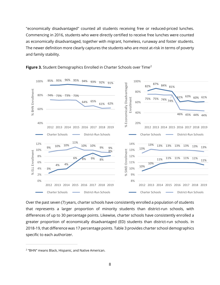"economically disadvantaged" counted all students receiving free or reduced-priced lunches. Commencing in 2016, students who were directly certified to receive free lunches were counted as economically disadvantaged, together with migrant, homeless, runaway and foster students. The newer definition more clearly captures the students who are most at-risk in terms of poverty and family stability.





Over the past seven (7) years, charter schools have consistently enrolled a population of students that represents a larger proportion of minority students than district-run schools, with differences of up to 30 percentage points. Likewise, charter schools have consistently enrolled a greater proportion of economically disadvantaged (ED) students than district-run schools. In 2018-19, that difference was 17 percentage points. Table 3 provides charter school demographics specific to each authorizer.

<span id="page-7-0"></span><sup>2</sup> "BHN" means Black, Hispanic, and Native American.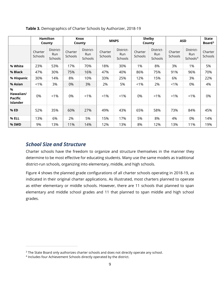|                                                        | <b>Hamilton</b><br>County |                             | Knox<br>County     |                             |                    | <b>MNPS</b>                 | <b>Shelby</b><br>County |                             |                    | <b>ASD</b>                               |                    |
|--------------------------------------------------------|---------------------------|-----------------------------|--------------------|-----------------------------|--------------------|-----------------------------|-------------------------|-----------------------------|--------------------|------------------------------------------|--------------------|
|                                                        | Charter<br><b>Schools</b> | District-<br>Run<br>Schools | Charter<br>Schools | District-<br>Run<br>Schools | Charter<br>Schools | District-<br>Run<br>Schools | Charter<br>Schools      | District-<br>Run<br>Schools | Charter<br>Schools | District-<br>Run<br>Schools <sup>4</sup> | Charter<br>Schools |
| % White                                                | 23%                       | 53%                         | 17%                | 70%                         | 18%                | 30%                         | 1%                      | 8%                          | 3%                 | 1%                                       | 5%                 |
| % Black                                                | 47%                       | 30%                         | 75%                | 16%                         | 47%                | 40%                         | 86%                     | 75%                         | 91%                | 96%                                      | 70%                |
| % Hispanic                                             | 30%                       | 14%                         | 8%                 | 10%                         | 33%                | 25%                         | 12%                     | 15%                         | 6%                 | 3%                                       | 22%                |
| % Asian                                                | $< 1\%$                   | 3%                          | 0%                 | 3%                          | 2%                 | 5%                          | $1\%$                   | 2%                          | $< 1\%$            | 0%                                       | 4%                 |
| $\%$<br>Hawaiian/<br><b>Pacific</b><br><b>Islander</b> | 0%                        | $< 1\%$                     | 0%                 | $< 1\%$                     | $< 1\%$            | $1\%$                       | 0%                      | $< 1\%$                     | $1\%$              | $< 1\%$                                  | 0%                 |
| % ED                                                   | 52%                       | 35%                         | 60%                | 27%                         | 49%                | 43%                         | 65%                     | 58%                         | 73%                | 84%                                      | 45%                |
| % ELL                                                  | 13%                       | 6%                          | 2%                 | 5%                          | 15%                | 17%                         | 5%                      | 8%                          | 4%                 | 0%                                       | 14%                |
| % SWD                                                  | 9%                        | 13%                         | 11%                | 14%                         | 12%                | 13%                         | 8%                      | 12%                         | 13%                | 11%                                      | 19%                |

**Table 3.** Demographics of Charter Schools by Authorizer, 2018-19

### *School Size and Structure*

Charter schools have the freedom to organize and structure themselves in the manner they determine to be most effective for educating students. Many use the same models as traditional district-run schools, organizing into elementary, middle, and high schools.

Figure 4 shows the planned grade configurations of all charter schools operating in 2018-19, as indicated in their original charter applications. As illustrated, most charters planned to operate as either elementary or middle schools. However, there are 11 schools that planned to span elementary and middle school grades and 11 that planned to span middle and high school grades.

<span id="page-8-0"></span><sup>&</sup>lt;sup>3</sup> The State Board only authorizes charter schools and does not directly operate any school.

<span id="page-8-1"></span><sup>4</sup> Includes four Achievement Schools directly operated by the district.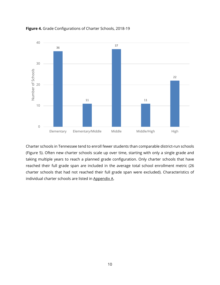

**Figure 4.** Grade Configurations of Charter Schools, 2018-19

Charter schools in Tennessee tend to enroll fewer students than comparable district-run schools (Figure 5). Often new charter schools scale up over time, starting with only a single grade and taking multiple years to reach a planned grade configuration. Only charter schools that have reached their full grade span are included in the average total school enrollment metric (26 charter schools that had not reached their full grade span were excluded). Characteristics of individual charter schools are listed in Appendix A.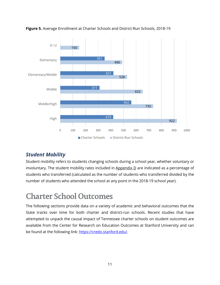

**Figure 5.** Average Enrollment at Charter Schools and District-Run Schools, 2018-19

### *Student Mobility*

Student mobility refers to students changing schools during a school year, whether voluntary or involuntary. The student mobility rates included in  $\Delta p$  and indicated as a percentage of students who transferred (calculated as the number of students who transferred divided by the number of students who attended the school at any point in the 2018-19 school year).

## **Charter School Outcomes**

The following sections provide data on a variety of academic and behavioral outcomes that the State tracks over time for both charter and district-run schools. Recent studies that have attempted to unpack the causal impact of Tennessee charter schools on student outcomes are available from the Center for Research on Education Outcomes at Stanford University and can be found at the following link: [https://credo.stanford.edu/.](https://credo.stanford.edu/)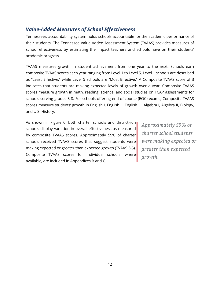### *Value-Added Measures of School Effectiveness*

Tennessee's accountability system holds schools accountable for the academic performance of their students. The Tennessee Value Added Assessment System (TVAAS) provides measures of school effectiveness by estimating the impact teachers and schools have on their students' academic progress.

TVAAS measures growth in student achievement from one year to the next. Schools earn composite TVAAS scores each year ranging from Level 1 to Level 5. Level 1 schools are described as "Least Effective," while Level 5 schools are "Most Effective." A Composite TVAAS score of 3 indicates that students are making expected levels of growth over a year. Composite TVAAS scores measure growth in math, reading, science, and social studies on TCAP assessments for schools serving grades 3-8. For schools offering end-of-course (EOC) exams, Composite TVAAS scores measure students' growth in English I, English II, English III, Algebra I, Algebra II, Biology, and U.S. History.

As shown in Figure 6, both charter schools and district-run schools display variation in overall effectiveness as measured by composite TVAAS scores. Approximately 59% of charter schools received TVAAS scores that suggest students were making expected or greater than expected growth (TVAAS 3-5). Composite TVAAS scores for individual schools, where available, are included in Appendices B and C.

*Approximately 59% of charter school students were making expected or greater than expected growth.*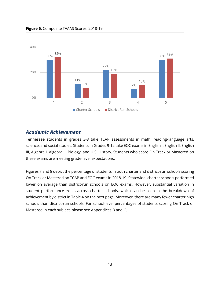

**Figure 6.** Composite TVAAS Scores, 2018-19

### *Academic Achievement*

Tennessee students in grades 3-8 take TCAP assessments in math, reading/language arts, science, and social studies. Students in Grades 9-12 take EOC exams in English I, English II, English III, Algebra I, Algebra II, Biology, and U.S. History. Students who score On Track or Mastered on these exams are meeting grade-level expectations.

Figures 7 and 8 depict the percentage of students in both charter and district-run schools scoring On Track or Mastered on TCAP and EOC exams in 2018-19. Statewide, charter schools performed lower on average than district-run schools on EOC exams. However, substantial variation in student performance exists across charter schools, which can be seen in the breakdown of achievement by district in Table 4 on the next page. Moreover, there are many fewer charter high schools than district-run schools. For school-level percentages of students scoring On Track or Mastered in each subject, please see Appendices B and C.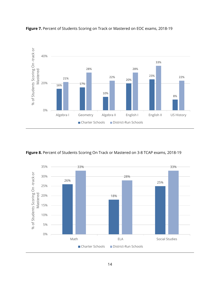



**Figure 8.** Percent of Students Scoring On Track or Mastered on 3-8 TCAP exams, 2018-19

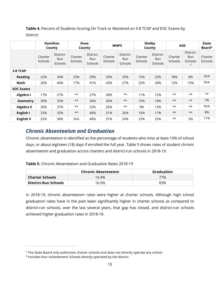**Table 4.** Percent of Students Scoring On Track or Mastered on 3-8 TCAP and EOC Exams by **District** 

|                   |                           | <b>Hamilton</b><br>County          |                    | Knox<br>County                     |                    | <b>MNPS</b>                               |                    | <b>Shelby</b><br>County                   |                           | <b>ASD</b>                              | State<br>Board <sup>5</sup> |
|-------------------|---------------------------|------------------------------------|--------------------|------------------------------------|--------------------|-------------------------------------------|--------------------|-------------------------------------------|---------------------------|-----------------------------------------|-----------------------------|
|                   | Charter<br><b>Schools</b> | District-<br>Run<br><b>Schools</b> | Charter<br>Schools | District-<br><b>Run</b><br>Schools | Charter<br>Schools | District-<br><b>Run</b><br><b>Schools</b> | Charter<br>Schools | District-<br><b>Run</b><br><b>Schools</b> | Charter<br><b>Schools</b> | District-<br>Run<br><b>Schools</b><br>6 | Charter<br>Schools          |
| 3-8 TCAP          |                           |                                    |                    |                                    |                    |                                           |                    |                                           |                           |                                         |                             |
| <b>Reading</b>    | 22%                       | 34%                                | 23%                | 39%                                | 29%                | 25%                                       | 15%                | 22%                                       | 78%                       | 8%                                      | N/A                         |
| Math              | 26%                       | 44%                                | 17%                | 41%                                | 43%                | 27%                                       | 22%                | 28%                                       | 12%                       | 15%                                     | N/A                         |
| <b>EOC Exams</b>  |                           |                                    |                    |                                    |                    |                                           |                    |                                           |                           |                                         |                             |
| Algebra I         | 17%                       | 27%                                | $***$              | 27%                                | 38%                | $***$                                     | 11%                | 12%                                       | $***$                     | $***$                                   | $***$                       |
| Geometry          | 39%                       | 33%                                | $***$              | 36%                                | 40%                | $***$                                     | 15%                | 18%                                       | $***$                     | $***$                                   | 7%                          |
| Algebra II        | 26%                       | 37%                                | $***$              | 32%                                | 26%                | $***$                                     | 9%                 | 13%                                       | $***$                     | $***$                                   | N/A                         |
| English I         | 33%                       | 32%                                | $***$              | 40%                                | 31%                | 26%                                       | 16%                | 17%                                       | $***$                     | $***$                                   | 8%                          |
| <b>English II</b> | 32%                       | 38%                                | N/A                | 48%                                | 31%                | 24%                                       | 23%                | 25%                                       | $***$                     | 5%                                      | 11%                         |

### *Chronic Absenteeism and Graduation*

Chronic absenteeism is identified as the percentage of students who miss at least 10% of school days, or about eighteen (18) days if enrolled the full year. Table 5 shows rates of student chronic absenteeism and graduation across charters and district-run schools in 2018-19.

|  | Table 5. Chronic Absenteeism and Graduation Rates 2018-19 |  |  |
|--|-----------------------------------------------------------|--|--|
|  |                                                           |  |  |

|                        | <b>Chronic Absenteeism</b> | <b>Graduation</b> |
|------------------------|----------------------------|-------------------|
| <b>Charter Schools</b> | 19.4%                      | 77%               |
| District-Run Schools   | 16.0%                      | 83%               |

In 2018-19, chronic absenteeism rates were higher at charter schools. Although high school graduation rates have in the past been significantly higher in charter schools as compared to district-run schools, over the last several years, that gap has closed, and district-run schools achieved higher graduation rates in 2018-19.

<span id="page-14-0"></span><sup>&</sup>lt;sup>5</sup> The State Board only authorizes charter schools and does not directly operate any school.

<span id="page-14-1"></span><sup>6</sup> Includes four Achievement Schools directly operated by the district.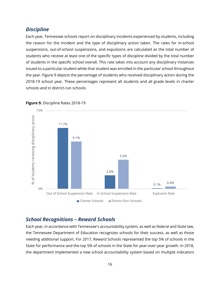### *Discipline*

Each year, Tennessee schools report on disciplinary incidents experienced by students, including the reason for the incident and the type of disciplinary action taken. The rates for in-school suspensions, out-of-school suspensions, and expulsions are calculated as the total number of students who receive at least one of the specific types of discipline divided by the total number of students in the specific school overall. This rate takes into account any disciplinary instances issued to a particular student while that student was enrolled in the particular school throughout the year. Figure 9 depicts the percentage of students who received disciplinary action during the 2018-19 school year. These percentages represent all students and all grade levels in charter schools and in district-run schools.



#### **Figure 9.** Discipline Rates 2018-19

### *School Recognitions – Reward Schools*

Each year, in accordance with Tennessee's accountability system, as well as federal and State law, the Tennessee Department of Education recognizes schools for their success, as well as those needing additional support. For 2017, Reward Schools represented the top 5% of schools in the State for performance and the top 5% of schools in the State for year-over-year growth. In 2018, the department implemented a new school accountability system based on multiple indicators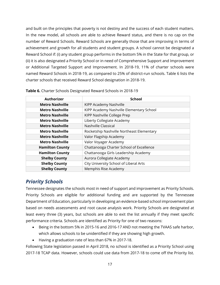and built on the principles that poverty is not destiny and the success of each student matters. In the new model, all schools are able to achieve Reward status, and there is no cap on the number of Reward Schools. Reward Schools are generally those that are improving in terms of achievement and growth for all students and student groups. A school cannot be designated a Reward School if: (i) any student group performs in the bottom 5% in the State for that group, or (ii) it is also designated a Priority School or in need of Comprehensive Support and Improvement or Additional Targeted Support and Improvement. In 2018-19, 11% of charter schools were named Reward Schools in 2018-19, as compared to 25% of district-run schools. Table 6 lists the charter schools that received Reward School designation in 2018-19.

| <b>Authorizer</b>      | <b>School</b>                             |
|------------------------|-------------------------------------------|
| <b>Metro Nashville</b> | KIPP Academy Nashville                    |
| <b>Metro Nashville</b> | KIPP Academy Nashville Elementary School  |
| <b>Metro Nashville</b> | KIPP Nashville College Prep               |
| <b>Metro Nashville</b> | Liberty Collegiate Academy                |
| <b>Metro Nashville</b> | Nashville Classical                       |
| <b>Metro Nashville</b> | Rocketship Nashville Northeast Elementary |
| <b>Metro Nashville</b> | Valor Flagship Academy                    |
| <b>Metro Nashville</b> | Valor Voyager Academy                     |
| <b>Hamilton County</b> | Chattanooga Charter School of Excellence  |
| <b>Hamilton County</b> | Chattanooga Girls Leadership Academy      |
| <b>Shelby County</b>   | Aurora Collegiate Academy                 |
| <b>Shelby County</b>   | City University School of Liberal Arts    |
| <b>Shelby County</b>   | Memphis Rise Academy                      |

**Table 6.** Charter Schools Designated Reward Schools in 2018-19

### *Priority Schools*

Tennessee designates the schools most in need of support and improvement as Priority Schools. Priority Schools are eligible for additional funding and are supported by the Tennessee Department of Education, particularly in developing an evidence-based school improvement plan based on needs assessments and root cause analysis work. Priority Schools are designated at least every three (3) years, but schools are able to exit the list annually if they meet specific performance criteria. Schools are identified as Priority for one of two reasons:

- Being in the bottom 5% in 2015-16 and 2016-17 AND not meeting the TVAAS safe harbor, which allows schools to be unidentified if they are showing high growth.
- Having a graduation rate of less than 67% in 2017-18.

Following State legislation passed in April 2018, no school is identified as a Priority School using 2017-18 TCAP data. However, schools could use data from 2017-18 to come off the Priority list.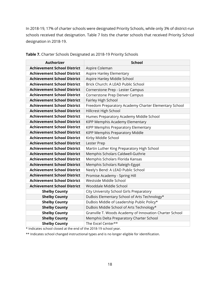In 2018-19, 17% of charter schools were designated Priority Schools, while only 3% of district-run schools received that designation. Table 7 lists the charter schools that received Priority School designation in 2018-19.

| <b>Authorizer</b>                  | <b>School</b>                                           |
|------------------------------------|---------------------------------------------------------|
| <b>Achievement School District</b> | Aspire Coleman                                          |
| <b>Achievement School District</b> | Aspire Hanley Elementary                                |
| <b>Achievement School District</b> | Aspire Hanley Middle School                             |
| <b>Achievement School District</b> | Brick Church: A LEAD Public School                      |
| <b>Achievement School District</b> | Cornerstone Prep - Lester Campus                        |
| <b>Achievement School District</b> | Cornerstone Prep Denver Campus                          |
| <b>Achievement School District</b> | Fairley High School                                     |
| <b>Achievement School District</b> | Freedom Preparatory Academy Charter Elementary School   |
| <b>Achievement School District</b> | Hillcrest High School                                   |
| <b>Achievement School District</b> | Humes Preparatory Academy Middle School                 |
| <b>Achievement School District</b> | KIPP Memphis Academy Elementary                         |
| <b>Achievement School District</b> | KIPP Memphis Preparatory Elementary                     |
| <b>Achievement School District</b> | KIPP Memphis Preparatory Middle                         |
| <b>Achievement School District</b> | Kirby Middle School                                     |
| <b>Achievement School District</b> | Lester Prep                                             |
| <b>Achievement School District</b> | Martin Luther King Preparatory High School              |
| <b>Achievement School District</b> | Memphis Scholars Caldwell-Guthrie                       |
| <b>Achievement School District</b> | Memphis Scholars Florida Kansas                         |
| <b>Achievement School District</b> | Memphis Scholars Raleigh-Egypt                          |
| <b>Achievement School District</b> | Neely's Bend: A LEAD Public School                      |
| <b>Achievement School District</b> | Promise Academy - Spring Hill                           |
| <b>Achievement School District</b> | Westside Middle School                                  |
| <b>Achievement School District</b> | Wooddale Middle School                                  |
| <b>Shelby County</b>               | City University School Girls Preparatory                |
| <b>Shelby County</b>               | DuBois Elementary School of Arts Technology*            |
| <b>Shelby County</b>               | DuBois Middle of Leadership Public Policy*              |
| <b>Shelby County</b>               | DuBois Middle School of Arts Technology*                |
| <b>Shelby County</b>               | Granville T. Woods Academy of Innovation Charter School |
| <b>Shelby County</b>               | Memphis Delta Preparatory Charter School                |
| <b>Shelby County</b>               | The Excel Center**                                      |

**Table 7.** Charter Schools Designated as 2018-19 Priority Schools

\* Indicates school closed at the end of the 2018-19 school year.

\*\* Indicates school changed instructional types and is no longer eligible for identification.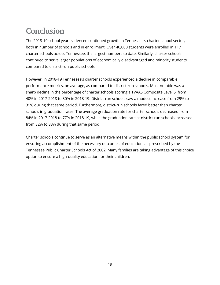## **Conclusion**

The 2018-19 school year evidenced continued growth in Tennessee's charter school sector, both in number of schools and in enrollment. Over 40,000 students were enrolled in 117 charter schools across Tennessee, the largest numbers to date. Similarly, charter schools continued to serve larger populations of economically disadvantaged and minority students compared to district-run public schools.

However, in 2018-19 Tennessee's charter schools experienced a decline in comparable performance metrics, on average, as compared to district-run schools. Most notable was a sharp decline in the percentage of charter schools scoring a TVAAS Composite Level 5, from 40% in 2017-2018 to 30% in 2018-19. District-run schools saw a modest increase from 29% to 31% during that same period. Furthermore, district-run schools fared better than charter schools in graduation rates. The average graduation rate for charter schools decreased from 84% in 2017-2018 to 77% in 2018-19, while the graduation rate at district-run schools increased from 82% to 83% during that same period.

Charter schools continue to serve as an alternative means within the public school system for ensuring accomplishment of the necessary outcomes of education, as prescribed by the Tennessee Public Charter Schools Act of 2002. Many families are taking advantage of this choice option to ensure a high-quality education for their children.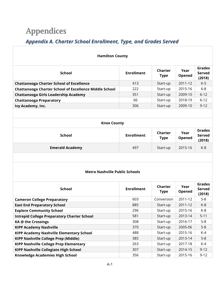## **Appendices**

### *Appendix A. Charter School Enrollment, Type, and Grades Served*

| <b>Hamilton County</b>                                        |                   |                        |                |                                          |  |  |  |
|---------------------------------------------------------------|-------------------|------------------------|----------------|------------------------------------------|--|--|--|
| <b>School</b>                                                 | <b>Enrollment</b> | Charter<br><b>Type</b> | Year<br>Opened | <b>Grades</b><br><b>Served</b><br>(2018) |  |  |  |
| <b>Chattanooga Charter School of Excellence</b>               | 413               | Start-up               | 2011-12        | $K-5$                                    |  |  |  |
| <b>Chattanooga Charter School of Excellence Middle School</b> | 222               | Start-up               | 2015-16        | $6 - 8$                                  |  |  |  |
| Chattanooga Girls Leadership Academy                          | 351               | Start-up               | 2009-10        | $6 - 12$                                 |  |  |  |
| <b>Chattanooga Preparatory</b>                                | 66                | Start-up               | 2018-19        | $6 - 12$                                 |  |  |  |
| Ivy Academy, Inc.                                             | 306               | Start-up               | 2009-10        | $9 - 12$                                 |  |  |  |
|                                                               |                   |                        |                |                                          |  |  |  |
| <b>Knox County</b>                                            |                   |                        |                |                                          |  |  |  |
| School                                                        | <b>Enrollment</b> | Charter<br>Tvne        | Year<br>Onened | Grades<br>Served                         |  |  |  |

| ------                 | ------------ | туре     | Opened  | ------<br>(2018) |  |
|------------------------|--------------|----------|---------|------------------|--|
| <b>Emerald Academy</b> | 497          | Start-up | 2015-16 | K-8              |  |

#### **Metro Nashville Public Schools**

| <b>School</b>                                      | <b>Enrollment</b> | Charter<br><b>Type</b> | Year<br>Opened | <b>Grades</b><br><b>Served</b><br>(2018) |
|----------------------------------------------------|-------------------|------------------------|----------------|------------------------------------------|
| <b>Cameron College Preparatory</b>                 | 603               | Conversion             | 2011-12        | $5 - 8$                                  |
| <b>East End Preparatory School</b>                 | 885               | Start-up               | 2011-12        | $K-8$                                    |
| <b>Explore Community School</b>                    | 296               | Start-up               | 2015-16        | K-8                                      |
| <b>Intrepid College Preparatory Charter School</b> | 581               | Start-up               | 2013-14        | $5 - 11$                                 |
| KA @ the Crossings                                 | 308               | Start-up               | 2016-17        | $5 - 8$                                  |
| <b>KIPP Academy Nashville</b>                      | 370               | Start-up               | 2005-06        | $5 - 8$                                  |
| <b>KIPP Academy Nashville Elementary School</b>    | 488               | Start-up               | 2015-16        | K-4                                      |
| <b>KIPP Nashville College Prep (Middle)</b>        | 385               | Start-up               | 2013-14        | $5 - 8$                                  |
| <b>KIPP Nashville College Prep Elementary</b>      | 263               | Start-up               | 2017-18        | $K-4$                                    |
| <b>KIPP Nashville Collegiate High School</b>       | 307               | Start-up               | 2014-15        | $9 - 12$                                 |
| <b>Knowledge Academies High School</b>             | 356               | Start-up               | 2015-16        | $9 - 12$                                 |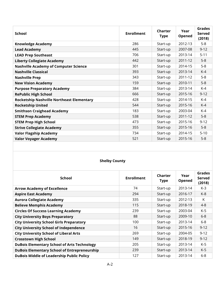| <b>School</b>                                    | <b>Enrollment</b> | Charter<br><b>Type</b> | Year<br>Opened | Grades<br>Served<br>(2018) |
|--------------------------------------------------|-------------------|------------------------|----------------|----------------------------|
| <b>Knowledge Academy</b>                         | 286               | Start-up               | 2012-13        | $5-8$                      |
| <b>Lead Academy</b>                              | 445               | Start-up               | 2007-08        | $9 - 12$                   |
| <b>LEAD Prep Southeast</b>                       | 706               | Start-up               | 2013-14        | $5 - 11$                   |
| <b>Liberty Collegiate Academy</b>                | 442               | Start-up               | 2011-12        | $5-8$                      |
| <b>Nashville Academy of Computer Science</b>     | 301               | Start-up               | 2014-15        | $5 - 8$                    |
| <b>Nashville Classical</b>                       | 393               | Start-up               | 2013-14        | $K-4$                      |
| <b>Nashville Prep</b>                            | 343               | Start-up               | 2011-12        | $5-8$                      |
| <b>New Vision Academy</b>                        | 159               | Start-up               | 2010-11        | $5-8$                      |
| <b>Purpose Preparatory Academy</b>               | 384               | Start-up               | 2013-14        | $K-4$                      |
| <b>RePublic High School</b>                      | 666               | Start-up               | 2015-16        | $9 - 12$                   |
| <b>Rocketship Nashville Northeast Elementary</b> | 428               | Start-up               | 2014-15        | $K-4$                      |
| <b>Rocketship United</b>                         | 544               | Start-up               | 2015-16        | $K-4$                      |
| <b>Smithson Craighead Academy</b>                | 183               | Start-up               | 2003-04        | $K-4$                      |
| <b>STEM Prep Academy</b>                         | 538               | Start-up               | 2011-12        | $5-8$                      |
| <b>STEM Prep High School</b>                     | 473               | Start-up               | 2015-16        | $9 - 12$                   |
| <b>Strive Collegiate Academy</b>                 | 355               | Start-up               | 2015-16        | $5-8$                      |
| <b>Valor Flagship Academy</b>                    | 734               | Start-up               | 2014-15        | $5 - 10$                   |
| <b>Valor Voyager Academy</b>                     | 521               | Start-up               | 2015-16        | $5 - 8$                    |

### **Shelby County**

| <b>School</b>                                       | <b>Enrollment</b> | Charter<br><b>Type</b> | Year<br>Opened | Grades<br><b>Served</b><br>(2018) |
|-----------------------------------------------------|-------------------|------------------------|----------------|-----------------------------------|
| <b>Arrow Academy of Excellence</b>                  | 74                | Start-up               | 2013-14        | K-3                               |
| <b>Aspire East Academy</b>                          | 294               | Start-up               | 2016-17        | $K-8$                             |
| <b>Aurora Collegiate Academy</b>                    | 335               | Start-up               | 2012-13        | K                                 |
| <b>Believe Memphis Academy</b>                      | 115               | Start-up               | 2018-19        | $4 - 8$                           |
| <b>Circles Of Success Learning Academy</b>          | 239               | Start-up               | 2003-04        | $K-5$                             |
| <b>City University Boys Preparatory</b>             | 88                | Start-up               | 2009-10        | $6 - 8$                           |
| <b>City University School Girls Preparatory</b>     | 100               | Start-up               | 2013-14        | $6-8$                             |
| <b>City University School of Independence</b>       | 16                | Start-up               | 2015-16        | $9 - 12$                          |
| <b>City University School of Liberal Arts</b>       | 269               | Start-up               | 2004-05        | $9 - 12$                          |
| <b>Crosstown High School</b>                        | 149               | Start-up               | 2018-19        | $9 - 12$                          |
| <b>DuBois Elementary School of Arts Technology</b>  | 205               | Start-up               | 2013-14        | $K-5$                             |
| <b>DuBois Elementary School of Entrepreneurship</b> | 239               | Start-up               | 2013-14        | $K-5$                             |
| <b>DuBois Middle of Leadership Public Policy</b>    | 127               | Start-up               | 2013-14        | $6 - 8$                           |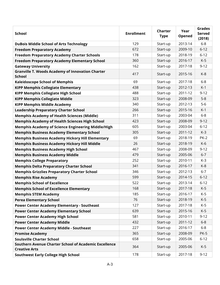| <b>School</b>                                                                 | <b>Enrollment</b> | Charter<br><b>Type</b> | Year<br>Opened | <b>Grades</b><br>Served<br>(2018) |
|-------------------------------------------------------------------------------|-------------------|------------------------|----------------|-----------------------------------|
| <b>DuBois Middle School of Arts Technology</b>                                | 129               | Start-up               | 2013-14        | $6-8$                             |
| <b>Freedom Preparatory Academy</b>                                            | 672               | Start-up               | 2009-10        | $6 - 12$                          |
| <b>Freedom Preparatory Academy Charter Schools</b>                            | 178               | Start-up               | 2018-19        | $6 - 12$                          |
| <b>Freedom Preparatory Academy Elementary School</b>                          | 360               | Start-up               | 2016-17        | $K-5$                             |
| <b>Gateway University</b>                                                     | 162               | Start-up               | 2017-18        | $9 - 12$                          |
| <b>Granville T. Woods Academy of Innovation Charter</b><br><b>School</b>      | 417               | Start-up               | 2015-16        | $K-8$                             |
| <b>Kaleidoscope School of Memphis</b>                                         | 69                | Start-up               | 2017-18        | $6 - 8$                           |
| <b>KIPP Memphis Collegiate Elementary</b>                                     | 438               | Start-up               | 2012-13        | $K-1$                             |
| <b>KIPP Memphis Collegiate High School</b>                                    | 488               | Start-up               | 2011-12        | $9 - 12$                          |
| <b>KIPP Memphis Collegiate Middle</b>                                         | 323               | Start-up               | 2008-09        | $5 - 8$                           |
| <b>KIPP Memphis Middle Academy</b>                                            | 340               | Start-up               | 2012-13        | $5-6$                             |
| <b>Leadership Preparatory Charter School</b>                                  | 266               | Start-up               | 2015-16        | $K-1$                             |
| <b>Memphis Academy of Health Sciences (Middle)</b>                            | 311               | Start-up               | 2003-04        | $6-8$                             |
| <b>Memphis Academy of Health Sciences High School</b>                         | 423               | Start-up               | 2008-09        | $9 - 12$                          |
| Memphis Academy of Science Engineering Middle/High                            | 605               | Start-up               | 2003-04        | $6 - 12$                          |
| <b>Memphis Business Academy Elementary School</b>                             | 305               | Start-up               | 2011-12        | $K-3$                             |
| <b>Memphis Business Academy Hickory Hill Elementary</b>                       | 69                | Start-up               | 2018-19        | <b>PK-2</b>                       |
| <b>Memphis Business Academy Hickory Hill Middle</b>                           | 26                | Start-up               | 2018-19        | $K-6$                             |
| <b>Memphis Business Academy High School</b>                                   | 467               | Start-up               | 2008-09        | $9 - 12$                          |
| <b>Memphis Business Academy Middle</b>                                        | 479               | Start-up               | 2005-06        | $6 - 7$                           |
| <b>Memphis College Preparatory</b>                                            | 252               | Start-up               | 2010-11        | $K-3$                             |
| <b>Memphis Delta Preparatory Charter School</b>                               | 341               | Start-up               | 2016-17        | $K-8$                             |
| <b>Memphis Grizzlies Preparatory Charter School</b>                           | 346               | Start-up               | 2012-13        | $6 - 7$                           |
| <b>Memphis Rise Academy</b>                                                   | 599               | Start-up               | 2014-15        | $6 - 12$                          |
| <b>Memphis School of Excellence</b>                                           | 522               | Start-up               | 2013-14        | $6 - 12$                          |
| <b>Memphis School of Excellence Elementary</b>                                | 168               | Start-up               | 2017-18        | $K-5$                             |
| <b>Memphis STEM Academy</b>                                                   | 185               | Start-up               | 2016-17        | K-5                               |
| <b>Perea Elementary School</b>                                                | 76                | Start-up               | 2018-19        | $K-5$                             |
| <b>Power Center Academy Elementary - Southeast</b>                            | 127               | Start-up               | 2017-18        | K-5                               |
| <b>Power Center Academy Elementary School</b>                                 | 639               | Start-up               | 2015-16        | $K-5$                             |
| <b>Power Center Academy High School</b>                                       | 581               | Start-up               | 2010-11        | $9 - 12$                          |
| <b>Power Center Academy Middle</b>                                            | 432               | Start-up               | 2011-12        | $6 - 8$                           |
| <b>Power Center Academy Middle - Southeast</b>                                | 227               | Start-up               | 2016-17        | $6 - 8$                           |
| <b>Promise Academy</b>                                                        | 365               | Start-up               | 2008-09        | <b>PK-5</b>                       |
| <b>Soulsville Charter School</b>                                              | 658               | Start-up               | 2005-06        | $6 - 12$                          |
| Southern Avenue Charter School of Academic Excellence<br><b>Creative Arts</b> | 364               | Start-up               | 2005-06        | $K-5$                             |
| <b>Southwest Early College High School</b>                                    | 178               | Start-up               | 2017-18        | $9 - 12$                          |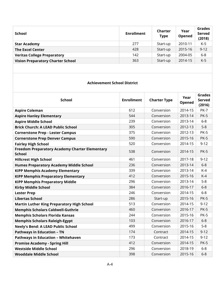| School                                   | <b>Enrollment</b> | <b>Charter</b><br><b>Type</b> | Year<br>Opened | Grades<br>Served<br>(2018) |
|------------------------------------------|-------------------|-------------------------------|----------------|----------------------------|
| <b>Star Academy</b>                      | 277               | Start-up                      | 2010-11        | K-5                        |
| <b>The Excel Center</b>                  | 428               | Start-up                      | 2015-16        | $9 - 12$                   |
| <b>Veritas College Preparatory</b>       | 142               | Start-up                      | 2004-05        | $6 - 8$                    |
| <b>Vision Preparatory Charter School</b> | 363               | Start-up                      | 2014-15        | $K-5$                      |

#### **Achievement School District**

| <b>School</b>                                                          | <b>Enrollment</b> | <b>Charter Type</b> | Year<br>Opened | <b>Grades</b><br><b>Served</b><br>(2016) |
|------------------------------------------------------------------------|-------------------|---------------------|----------------|------------------------------------------|
| <b>Aspire Coleman</b>                                                  | 612               | Conversion          | 2014-15        | <b>PK-7</b>                              |
| <b>Aspire Hanley Elementary</b>                                        | 544               | Conversion          | 2013-14        | <b>PK-5</b>                              |
| <b>Aspire Middle School</b>                                            | 239               | Conversion          | 2013-14        | $6 - 8$                                  |
| <b>Brick Church: A LEAD Public School</b>                              | 305               | Conversion          | 2012-13        | $5 - 8$                                  |
| <b>Cornerstone Prep - Lester Campus</b>                                | 375               | Conversion          | 2012-13        | <b>PK-5</b>                              |
| <b>Cornerstone Prep Denver Campus</b>                                  | 590               | Conversion          | 2015-16        | <b>PK-5</b>                              |
| <b>Fairley High School</b>                                             | 520               | Conversion          | 2014-15        | $9 - 12$                                 |
| <b>Freedom Preparatory Academy Charter Elementary</b><br><b>School</b> | 538               | Conversion          | 2014-15        | <b>PK-5</b>                              |
| <b>Hillcrest High School</b>                                           | 461               | Conversion          | 2017-18        | $9 - 12$                                 |
| <b>Humes Preparatory Academy Middle School</b>                         | 236               | Conversion          | 2013-14        | $6 - 8$                                  |
| <b>KIPP Memphis Academy Elementary</b>                                 | 339               | Conversion          | 2013-14        | $K-4$                                    |
| <b>KIPP Memphis Preparatory Elementary</b>                             | 412               | Conversion          | 2015-16        | $K-4$                                    |
| <b>KIPP Memphis Preparatory Middle</b>                                 | 296               | Conversion          | 2013-14        | $5-8$                                    |
| <b>Kirby Middle School</b>                                             | 384               | Conversion          | 2016-17        | $6 - 8$                                  |
| <b>Lester Prep</b>                                                     | 246               | Conversion          | 2014-15        | $6-8$                                    |
| <b>Libertas School</b>                                                 | 286               | Start-up            | 2015-16        | <b>PK-5</b>                              |
| <b>Martin Luther King Preparatory High School</b>                      | 513               | Conversion          | 2014-15        | $9 - 12$                                 |
| <b>Memphis Scholars Caldwell-Guthrie</b>                               | 460               | Conversion          | 2016-17        | <b>PK-5</b>                              |
| <b>Memphis Scholars Florida Kansas</b>                                 | 244               | Conversion          | 2015-16        | <b>PK-5</b>                              |
| <b>Memphis Scholars Raleigh-Egypt</b>                                  | 103               | Conversion          | 2016-17        | $6 - 8$                                  |
| <b>Neely's Bend: A LEAD Public School</b>                              | 499               | Conversion          | 2015-16        | $5 - 8$                                  |
| <b>Pathways in Education - TN</b>                                      | 174               | Contract            | 2014-15        | $9 - 12$                                 |
| <b>Pathways in Education - Whitehaven</b>                              | 173               | Contract            | 2014-15        | $9 - 12$                                 |
| <b>Promise Academy - Spring Hill</b>                                   | 412               | Conversion          | 2014-15        | <b>PK-5</b>                              |
| <b>Westside Middle School</b>                                          | 296               | Conversion          | 2018-19        | $6-8$                                    |
| Wooddale Middle School                                                 | 398               | Conversion          | 2015-16        | $6-8$                                    |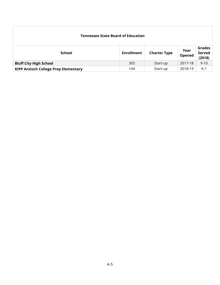| <b>Tennessee State Board of Education</b>   |                   |                     |                |                                   |  |  |
|---------------------------------------------|-------------------|---------------------|----------------|-----------------------------------|--|--|
| <b>School</b>                               | <b>Enrollment</b> | <b>Charter Type</b> | Year<br>Opened | <b>Grades</b><br>Served<br>(2018) |  |  |
| <b>Bluff City High School</b>               | 305               | Start-up            | 2017-18        | $9 - 10$                          |  |  |
| <b>KIPP Antioch College Prep Elementary</b> | 144               | Start-up            | 2018-19        | $K-1$                             |  |  |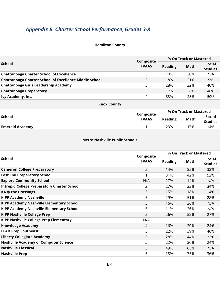#### **Hamilton County**

|                                                               | Composite    | % On Track or Mastered |      |                                 |
|---------------------------------------------------------------|--------------|------------------------|------|---------------------------------|
| School                                                        | <b>TVAAS</b> | <b>Reading</b>         | Math | <b>Social</b><br><b>Studies</b> |
| <b>Chattanooga Charter School of Excellence</b>               | 5            | 10%                    | 20%  | N/A                             |
| <b>Chattanooga Charter School of Excellence Middle School</b> | 5            | 18%                    | 21%  | 9%                              |
| Chattanooga Girls Leadership Academy                          | 5            | 28%                    | 32%  | 40%                             |
| <b>Chattanooga Preparatory</b>                                | 5            | 17%                    | 36%  | 46%                             |
| Ivy Academy, Inc.                                             | 4            | 33%                    | 28%  | 50%                             |

#### **Knox County**

| <b>School</b>          | Composite    | % On Track or Mastered |             |                          |  |
|------------------------|--------------|------------------------|-------------|--------------------------|--|
|                        | <b>TVAAS</b> | <b>Reading</b>         | <b>Math</b> | Social<br><b>Studies</b> |  |
| <b>Emerald Academy</b> |              | 23%                    | 7%          | 14%                      |  |
|                        |              |                        |             |                          |  |

#### **Metro Nashville Public Schools**

|                                                    |                           | % On Track or Mastered |      |                                 |
|----------------------------------------------------|---------------------------|------------------------|------|---------------------------------|
| <b>School</b>                                      | Composite<br><b>TVAAS</b> | <b>Reading</b>         | Math | <b>Social</b><br><b>Studies</b> |
| <b>Cameron College Preparatory</b>                 | 5                         | 14%                    | 35%  | 33%                             |
| <b>East End Preparatory School</b>                 |                           | 31%                    | 42%  | 52%                             |
| <b>Explore Community School</b>                    | N/A                       | 27%                    | 14%  | N/A                             |
| <b>Intrepid College Preparatory Charter School</b> | 2                         | 27%                    | 33%  | 34%                             |
| KA @ the Crossings                                 | 3                         | 15%                    | 18%  | 14%                             |
| <b>KIPP Academy Nashville</b>                      | 5                         | 29%                    | 51%  | 28%                             |
| KIPP Academy Nashville Elementary School           | 5                         | 16%                    | 36%  | N/A                             |
| <b>KIPP Academy Nashville Elementary School</b>    | 5                         | 11%                    | 26%  | N/A                             |
| <b>KIPP Nashville College Prep</b>                 | 5                         | 26%                    | 52%  | 27%                             |
| <b>KIPP Nashville College Prep Elementary</b>      | N/A                       |                        |      |                                 |
| <b>Knowledge Academy</b>                           | 4                         | 16%                    | 20%  | 24%                             |
| <b>LEAD Prep Southeast</b>                         | 5                         | 22%                    | 39%  | 46%                             |
| <b>Liberty Collegiate Academy</b>                  | 5                         | 28%                    | 44%  | 22%                             |
| <b>Nashville Academy of Computer Science</b>       | 5                         | 22%                    | 30%  | 24%                             |
| <b>Nashville Classical</b>                         | 3                         | 49%                    | 65%  | N/A                             |
| <b>Nashville Prep</b>                              | 5                         | 18%                    | 35%  | 36%                             |
|                                                    |                           |                        |      |                                 |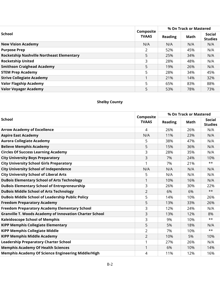|                                                  |                           |                | % On Track or Mastered |                                 |  |
|--------------------------------------------------|---------------------------|----------------|------------------------|---------------------------------|--|
| <b>School</b>                                    | Composite<br><b>TVAAS</b> | <b>Reading</b> | Math                   | <b>Social</b><br><b>Studies</b> |  |
| <b>New Vision Academy</b>                        | N/A                       | N/A            | N/A                    | N/A                             |  |
| <b>Purpose Prep</b>                              | 2                         | 52%            | 45%                    | N/A                             |  |
| <b>Rocketship Nashville Northeast Elementary</b> | 5                         | 25%            | 34%                    | N/A                             |  |
| <b>Rocketship United</b>                         | 3                         | 28%            | 48%                    | N/A                             |  |
| <b>Smithson Craighead Academy</b>                | 5                         | 19%            | 26%                    | N/A                             |  |
| <b>STEM Prep Academy</b>                         | 5                         | 28%            | 34%                    | 45%                             |  |
| <b>Strive Collegiate Academy</b>                 |                           | 21%            | 14%                    | 32%                             |  |
| <b>Valor Flagship Academy</b>                    | 5                         | 65%            | 83%                    | 88%                             |  |
| <b>Valor Voyager Academy</b>                     | 5                         | 53%            | 78%                    | 73%                             |  |

### **Shelby County**

|                                                                | Composite      | % On Track or Mastered |      |                          |
|----------------------------------------------------------------|----------------|------------------------|------|--------------------------|
| <b>School</b>                                                  | <b>TVAAS</b>   | <b>Reading</b>         | Math | Social<br><b>Studies</b> |
| <b>Arrow Academy of Excellence</b>                             | 4              | 26%                    | 26%  | N/A                      |
| <b>Aspire East Academy</b>                                     | N/A            | 11%                    | 23%  | N/A                      |
| <b>Aurora Collegiate Academy</b>                               | 5              | 38%                    | 47%  | N/A                      |
| <b>Believe Memphis Academy</b>                                 | 5              | 15%                    | 36%  | N/A                      |
| <b>Circles Of Success Learning Academy</b>                     | 3              | 28%                    | 35%  | N/A                      |
| <b>City University Boys Preparatory</b>                        | 3              | 7%                     | 24%  | 10%                      |
| <b>City University School Girls Preparatory</b>                | 1              | 7%                     | 21%  | $***$                    |
| <b>City University School of Independence</b>                  | N/A            | N/A                    | N/A  | N/A                      |
| <b>City University School of Liberal Arts</b>                  | 5              | N/A                    | N/A  | N/A                      |
| <b>DuBois Elementary School of Arts Technology</b>             | 1              | 10%                    | 16%  | N/A                      |
| <b>DuBois Elementary School of Entrepreneurship</b>            | 3              | 26%                    | 30%  | 22%                      |
| <b>DuBois Middle School of Arts Technology</b>                 | $\overline{2}$ | 6%                     | 6%   | $***$                    |
| <b>DuBois Middle School of Leadership Public Policy</b>        | 5              | 14%                    | 10%  | 26%                      |
| <b>Freedom Preparatory Academy</b>                             | 5              | 13%                    | 33%  | 26%                      |
| <b>Freedom Preparatory Academy Elementary School</b>           | 3              | 12%                    | 24%  | N/A                      |
| <b>Granville T. Woods Academy of Innovation Charter School</b> | 3              | 13%                    | 12%  | 8%                       |
| <b>Kaleidoscope School of Memphis</b>                          | 3              | 9%                     | 10%  | $***$                    |
| <b>KIPP Memphis Collegiate Elementary</b>                      | 5              | 5%                     | 18%  | N/A                      |
| <b>KIPP Memphis Collegiate Middle</b>                          | 2              | 7%                     | 10%  | $***$                    |
| <b>KIPP Memphis Middle Academy</b>                             | $\overline{2}$ | 10%                    | 5%   | 10%                      |
| <b>Leadership Preparatory Charter School</b>                   | 1              | 27%                    | 26%  | N/A                      |
| <b>Memphis Academy Of Health Sciences</b>                      | 1              | 6%                     | 10%  | 14%                      |
| <b>Memphis Academy Of Science Engineering Middle/High</b>      | 4              | 11%                    | 12%  | 16%                      |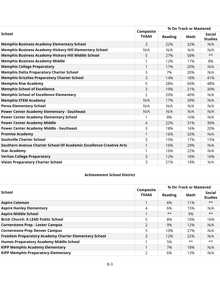|                                                                     |                           | % On Track or Mastered |      |                          |
|---------------------------------------------------------------------|---------------------------|------------------------|------|--------------------------|
| <b>School</b>                                                       | Composite<br><b>TVAAS</b> | <b>Reading</b>         | Math | Social<br><b>Studies</b> |
| <b>Memphis Business Academy Elementary School</b>                   | 3                         | 22%                    | 32%  | N/A                      |
| <b>Memphis Business Academy Hickory Hill Elementary School</b>      | N/A                       | N/A                    | N/A  | N/A                      |
| Memphis Business Academy Hickory Hill Middle School                 | 5                         | 27%                    | 58%  | $***$                    |
| <b>Memphis Business Academy Middle</b>                              |                           | 12%                    | 17%  | 8%                       |
| <b>Memphis College Preparatory</b>                                  | 1                         | 17%                    | 20%  | N/A                      |
| <b>Memphis Delta Preparatory Charter School</b>                     | 3                         | 7%                     | 20%  | N/A                      |
| <b>Memphis Grizzlies Preparatory Charter School</b>                 | 3                         | 14%                    | 18%  | 41%                      |
| <b>Memphis Rise Academy</b>                                         | 5                         | 28%                    | 60%  | 48%                      |
| <b>Memphis School of Excellence</b>                                 | 3                         | 19%                    | 21%  | 30%                      |
| <b>Memphis School of Excellence Elementary</b>                      | $\overline{2}$            | 20%                    | 40%  | N/A                      |
| <b>Memphis STEM Academy</b>                                         | N/A                       | 17%                    | 39%  | N/A                      |
| <b>Perea Elementary School</b>                                      | N/A                       | N/A                    | N/A  | N/A                      |
| <b>Power Center Academy Elementary - Southeast</b>                  | N/A                       | N/A                    | N/A  | N/A                      |
| <b>Power Center Academy Elementary School</b>                       |                           | 8%                     | 16%  | N/A                      |
| <b>Power Center Academy Middle</b>                                  | $\overline{4}$            | 22%                    | 31%  | 30%                      |
| <b>Power Center Academy Middle - Southeast</b>                      | 3                         | 18%                    | 16%  | 20%                      |
| <b>Promise Academy</b>                                              | 1                         | 16%                    | 32%  | N/A                      |
| <b>Soulsville Charter School</b>                                    | 3                         | 15%                    | 17%  | 15%                      |
| Southern Avenue Charter School Of Academic Excellence Creative Arts | 1                         | 16%                    | 29%  | N/A                      |
| <b>Star Academy</b>                                                 | 1                         | 16%                    | 22%  | N/A                      |
| <b>Veritas College Preparatory</b>                                  | 3                         | 12%                    | 18%  | 16%                      |
| <b>Vision Preparatory Charter School</b>                            | 3                         | 21%                    | 14%  | N/A                      |

#### **Achievement School District**

|                                                       | Composite      | % On Track or Mastered |       |                                 |
|-------------------------------------------------------|----------------|------------------------|-------|---------------------------------|
| School                                                | <b>TVAAS</b>   | <b>Reading</b>         | Math  | <b>Social</b><br><b>Studies</b> |
| <b>Aspire Coleman</b>                                 |                | 6%                     | 11%   | $***$                           |
| <b>Aspire Hanley Elementary</b>                       | 4              | 6%                     | 15%   | N/A                             |
| <b>Aspire Middle School</b>                           |                | $***$                  | 9%    | $***$                           |
| <b>Brick Church: A LEAD Public School</b>             | 5              | 8%                     | 10%   | 16%                             |
| <b>Cornerstone Prep - Lester Campus</b>               | 2              | 9%                     | 12%   | N/A                             |
| <b>Cornerstone Prep Denver Campus</b>                 | 5              | 10%                    | 27%   | N/A                             |
| Freedom Preparatory Academy Charter Elementary School | 3              | 12%                    | 22%   | N/A                             |
| <b>Humes Preparatory Academy Middle School</b>        |                | 5%                     | $***$ | $***$                           |
| <b>KIPP Memphis Academy Elementary</b>                |                | 7%                     | 18%   | N/A                             |
| <b>KIPP Memphis Preparatory Elementary</b>            | $\overline{2}$ | 6%                     | 13%   | N/A                             |
|                                                       |                |                        |       |                                 |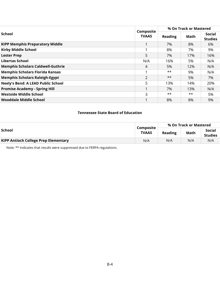|                                           |                           | % On Track or Mastered |       |                          |  |
|-------------------------------------------|---------------------------|------------------------|-------|--------------------------|--|
| School                                    | Composite<br><b>TVAAS</b> | <b>Reading</b>         | Math  | Social<br><b>Studies</b> |  |
| <b>KIPP Memphis Preparatory Middle</b>    |                           | 7%                     | 8%    | 6%                       |  |
| <b>Kirby Middle School</b>                |                           | 8%                     | 7%    | 9%                       |  |
| <b>Lester Prep</b>                        | 5                         | 7%                     | 17%   | 16%                      |  |
| Libertas School                           | N/A                       | 16%                    | 5%    | N/A                      |  |
| <b>Memphis Scholars Caldwell-Guthrie</b>  | 4                         | 5%                     | 12%   | N/A                      |  |
| <b>Memphis Scholars Florida Kansas</b>    |                           | **                     | 9%    | N/A                      |  |
| <b>Memphis Scholars Raleigh-Egypt</b>     | 2                         | $***$                  | 5%    | 7%                       |  |
| <b>Neely's Bend: A LEAD Public School</b> | 5                         | 13%                    | 14%   | 20%                      |  |
| <b>Promise Academy - Spring Hill</b>      |                           | 7%                     | 13%   | N/A                      |  |
| <b>Westside Middle School</b>             | 3                         | $***$                  | $***$ | 5%                       |  |
| Wooddale Middle School                    |                           | 8%                     | 8%    | 9%                       |  |

#### **Tennessee State Board of Education**

|                                             |                    | % On Track or Mastered |      |                          |  |
|---------------------------------------------|--------------------|------------------------|------|--------------------------|--|
| School                                      | Composite<br>TVAAS | Reading                | Math | Social<br><b>Studies</b> |  |
| <b>KIPP Antioch College Prep Elementary</b> | N/A                | N/A                    | N/A  | N/A                      |  |

Note: \*\* Indicates that results were suppressed due to FERPA regulations.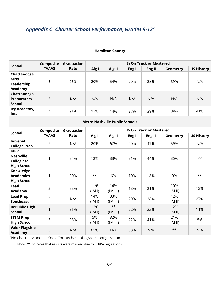### *Appendix C. Charter School Performance, Grades 9-127*

| <b>Hamilton County</b>                                              |                |                   |               |                   |                        |                        |                |                   |  |  |
|---------------------------------------------------------------------|----------------|-------------------|---------------|-------------------|------------------------|------------------------|----------------|-------------------|--|--|
| <b>School</b>                                                       | Composite      | <b>Graduation</b> |               |                   |                        | % On Track or Mastered |                |                   |  |  |
|                                                                     | <b>TVAAS</b>   | Rate              | Alg I         | Alg II            | Eng I                  | Eng II                 | Geometry       | <b>US History</b> |  |  |
| Chattanooga<br>Girls<br>Leadership<br><b>Academy</b>                | 5              | 96%               | 20%           | 54%               | 29%                    | 28%                    | 39%            | N/A               |  |  |
| Chattanooga<br>Preparatory<br><b>School</b>                         | 5              | N/A               | N/A           | N/A               | N/A                    | N/A                    | N/A            | N/A               |  |  |
| Ivy Academy,<br>Inc.                                                | $\overline{4}$ | 91%               | 15%           | 14%               | 37%                    | 39%                    | 38%            | 41%               |  |  |
| <b>Metro Nashville Public Schools</b>                               |                |                   |               |                   |                        |                        |                |                   |  |  |
| <b>School</b>                                                       | Composite      | <b>Graduation</b> |               |                   | % On Track or Mastered |                        |                |                   |  |  |
|                                                                     | <b>TVAAS</b>   | Rate              | Alg I         | Alg II            | Eng I                  | Eng II                 | Geometry       | <b>US History</b> |  |  |
| Intrepid<br><b>College Prep</b>                                     | $\overline{2}$ | N/A               | 20%           | 67%               | 40%                    | 47%                    | 59%            | N/A               |  |  |
| <b>KIPP</b><br><b>Nashville</b><br>Collegiate<br><b>High School</b> | 1              | 84%               | 12%           | 33%               | 31%                    | 44%                    | 35%            | $**$              |  |  |
| Knowledge<br><b>Academies</b><br><b>High School</b>                 | 1              | 90%               | $**$          | 6%                | 10%                    | 18%                    | 9%             | **                |  |  |
| Lead<br><b>Academy</b>                                              | 3              | 88%               | 11%<br>(IM I) | 14%<br>(IM III)   | 18%                    | 21%                    | 10%<br>(IM II) | 13%               |  |  |
| <b>Lead Prep</b><br><b>Southeast</b>                                | 5              | N/A               | 14%<br>(IM I) | 33%<br>(IM III)   | 20%                    | 38%                    | 12%<br>(IM II) | 27%               |  |  |
| <b>RePublic High</b><br><b>School</b>                               | $\mathbf{1}$   | 91%               | 12%<br>(IM I) | $***$<br>(IM III) | 22%                    | 23%                    | 12%<br>(IM II) | 11%               |  |  |
| <b>STEM Prep</b><br><b>High School</b>                              | 3              | 93%               | 5%<br>(IM I)  | 32%<br>(IM III)   | 22%                    | 41%                    | 21%<br>(IM II) | 5%                |  |  |
| <b>Valor Flagship</b><br>Academy                                    | 5              | N/A               | 65%           | N/A               | 63%                    | N/A                    | $***$          | N/A               |  |  |

 $7$ No charter school in Knox County has this grade configuration.

Note: \*\* Indicates that results were masked due to FERPA regulations.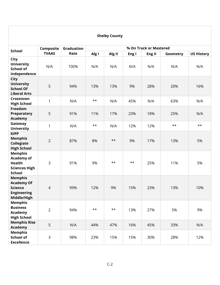#### **Shelby County School Composite TVAAS Graduation Rate % On Track or Mastered Alg I Alg II Eng I Eng II Geometry US History City University School of Independence** N/A 100% N/A N/A N/A N/A N/A N/A **City University School Of Liberal Arts** 5 94% 13% 13% 9% 28% 20% 16% **Crosstown High School** <sup>1</sup> N/A \*\* N/A 45% N/A 63% N/A **Freedom Preparatory Academy** 5 91% 11% 17% 23% 18% 25% N/A **Gateway University** 1 | N/A | \*\* | N/A | 12% | 12% | \*\* | \*\*<br>University | 1 | N/A | \*\* | N/A | 12% | <sup>\*\*</sup> | \*\* **KIPP Memphis Collegiate High School** 2 87% 8% \*\* 9% 17% 13% 5% **Memphis Academy of Health Sciences High School** 3 | 91% | 9% | \*\* | \*\* | 25% | 11% | 5% **Memphis Academy Of Science Engineering Middle/High** 4 99% 12% 9% 15% 23% 13% 10% **Memphis Business Academy High School** 2 | 94% | \*\* | \*\* | 13% | 27% | 5% | 9% **Memphis Rise Academy** <sup>5</sup> N/A 44% 47% 16% 45% 33% N/A **Memphis School of Excellence** 3 98% 23% 15% 15% 30% 28% 12%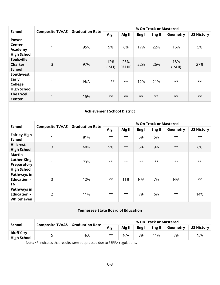| <b>School</b>                                                     |                        | <b>Graduation Rate</b> |               |                 |       | % On Track or Mastered |                |                   |
|-------------------------------------------------------------------|------------------------|------------------------|---------------|-----------------|-------|------------------------|----------------|-------------------|
|                                                                   | <b>Composite TVAAS</b> |                        | Alg I         | Alg II          | Eng I | Eng II                 | Geometry       | <b>US History</b> |
| <b>Power</b><br>Center<br>Academy<br><b>High School</b>           |                        | 95%                    | 9%            | 6%              | 17%   | 22%                    | 16%            | 5%                |
| <b>Soulsville</b><br><b>Charter</b><br><b>School</b>              | 3                      | 97%                    | 12%<br>(IM I) | 25%<br>(IM III) | 22%   | 26%                    | 18%<br>(IM II) | 27%               |
| <b>Southwest</b><br>Early<br><b>College</b><br><b>High School</b> |                        | N/A                    | $***$         | $***$           | 12%   | 21%                    | $***$          | $**$              |
| <b>The Excel</b><br>Center                                        | 1                      | 15%                    | $***$         | $***$           | $***$ | $***$                  | $***$          | $***$             |

#### **Achievement School District**

| <b>School</b>                                                     | <b>Composite TVAAS</b> | <b>Graduation Rate</b> | % On Track or Mastered |        |       |        |          |                   |
|-------------------------------------------------------------------|------------------------|------------------------|------------------------|--------|-------|--------|----------|-------------------|
|                                                                   |                        |                        | Alg I                  | Alg II | Eng I | Eng II | Geometry | <b>US History</b> |
| <b>Fairley High</b><br><b>School</b>                              | 1                      | 81%                    | $***$                  | $***$  | 5%    | 5%     | $***$    | $**$              |
| <b>Hillcrest</b><br><b>High School</b>                            | 3                      | 60%                    | 9%                     | $***$  | 5%    | 9%     | $***$    | 6%                |
| Martin<br><b>Luther King</b><br>Preparatory<br><b>High School</b> |                        | 73%                    | $***$                  | $***$  | $***$ | $***$  | $***$    | $**$              |
| Pathways in<br><b>Education -</b><br>ΤN                           | 3                      | 12%                    | $***$                  | 11%    | N/A   | 7%     | N/A      | $***$             |
| Pathways in<br><b>Education -</b><br>Whitehaven                   | 2                      | 11%                    | $***$                  | $***$  | 7%    | 6%     | $***$    | 14%               |

#### **Tennessee State Board of Education**

|                                         |                                        |     | % On Track or Mastered |        |       |        |          |                   |
|-----------------------------------------|----------------------------------------|-----|------------------------|--------|-------|--------|----------|-------------------|
| <b>School</b>                           | <b>Composite TVAAS</b> Graduation Rate |     | Alg I                  | Alg II | Eng I | Eng II | Geometry | <b>US History</b> |
| <b>Bluff City</b><br><b>High School</b> |                                        | N/A | $***$                  | N/A    | 8%    | 11%    | 7%       | N/A               |

Note: \*\* Indicates that results were suppressed due to FERPA regulations.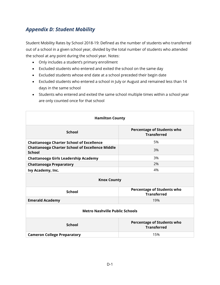### *Appendix D: Student Mobility*

Student Mobility Rates by School 2018-19: Defined as the number of students who transferred out of a school in a given school year, divided by the total number of students who attended the school at any point during the school year. Notes:

- Only includes a student's primary enrollment
- Excluded students who entered and exited the school on the same day
- Excluded students whose end date at a school preceded their begin date
- Excluded students who entered a school in July or August and remained less than 14 days in the same school
- Students who entered and exited the same school multiple times within a school year are only counted once for that school

| <b>Hamilton County</b>                                                  |                                                         |  |  |  |
|-------------------------------------------------------------------------|---------------------------------------------------------|--|--|--|
| <b>School</b>                                                           | <b>Percentage of Students who</b><br><b>Transferred</b> |  |  |  |
| <b>Chattanooga Charter School of Excellence</b>                         | 5%                                                      |  |  |  |
| <b>Chattanooga Charter School of Excellence Middle</b><br><b>School</b> | 3%                                                      |  |  |  |
| Chattanooga Girls Leadership Academy                                    | 3%                                                      |  |  |  |
| <b>Chattanooga Preparatory</b>                                          | 2%                                                      |  |  |  |
| Ivy Academy, Inc.                                                       | 4%                                                      |  |  |  |
| <b>Knox County</b>                                                      |                                                         |  |  |  |
| <b>School</b>                                                           | <b>Percentage of Students who</b><br><b>Transferred</b> |  |  |  |
| <b>Emerald Academy</b>                                                  | 19%                                                     |  |  |  |
| <b>Metro Nashville Public Schools</b>                                   |                                                         |  |  |  |
| <b>School</b>                                                           | <b>Percentage of Students who</b><br><b>Transferred</b> |  |  |  |
| <b>Cameron College Preparatory</b>                                      | 15%                                                     |  |  |  |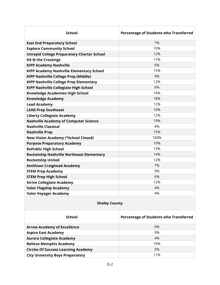| <b>School</b>                                      | Percentage of Students who Transferred |
|----------------------------------------------------|----------------------------------------|
| <b>East End Preparatory School</b>                 | 7%                                     |
| <b>Explore Community School</b>                    | 10%                                    |
| <b>Intrepid College Preparatory Charter School</b> | 12%                                    |
| <b>KA @ the Crossings</b>                          | 17%                                    |
| <b>KIPP Academy Nashville</b>                      | 6%                                     |
| <b>KIPP Academy Nashville Elementary School</b>    | 15%                                    |
| <b>KIPP Nashville College Prep (Middle)</b>        | 9%                                     |
| <b>KIPP Nashville College Prep Elementary</b>      | 12%                                    |
| <b>KIPP Nashville Collegiate High School</b>       | 6%                                     |
| <b>Knowledge Academies High School</b>             | 14%                                    |
| <b>Knowledge Academy</b>                           | 18%                                    |
| <b>Lead Academy</b>                                | 12%                                    |
| <b>LEAD Prep Southeast</b>                         | 10%                                    |
| <b>Liberty Collegiate Academy</b>                  | 12%                                    |
| <b>Nashville Academy of Computer Science</b>       | 19%                                    |
| <b>Nashville Classical</b>                         | 4%                                     |
| <b>Nashville Prep</b>                              | 15%                                    |
| <b>New Vision Academy (*School Closed)</b>         | 100%                                   |
| <b>Purpose Preparatory Academy</b>                 | 10%                                    |
| <b>RePublic High School</b>                        | 13%                                    |
| <b>Rocketship Nashville Northeast Elementary</b>   | 14%                                    |
| <b>Rocketship United</b>                           | 12%                                    |
| <b>Smithson Craighead Academy</b>                  | 7%                                     |
| <b>STEM Prep Academy</b>                           | 9%                                     |
| <b>STEM Prep High School</b>                       | 6%                                     |
| <b>Strive Collegiate Academy</b>                   | 12%                                    |
| <b>Valor Flagship Academy</b>                      | 4%                                     |
| <b>Valor Voyager Academy</b>                       | 4%                                     |

#### **Shelby County**

| School                                     | <b>Percentage of Students who Transferred</b> |
|--------------------------------------------|-----------------------------------------------|
| <b>Arrow Academy of Excellence</b>         | 6%                                            |
| <b>Aspire East Academy</b>                 | 9%                                            |
| <b>Aurora Collegiate Academy</b>           | 4%                                            |
| <b>Believe Memphis Academy</b>             | 16%                                           |
| <b>Circles Of Success Learning Academy</b> | 5%                                            |
| <b>City University Boys Preparatory</b>    | 11%                                           |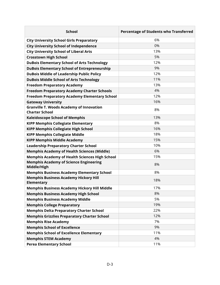| <b>School</b>                                                            | Percentage of Students who Transferred |
|--------------------------------------------------------------------------|----------------------------------------|
| <b>City University School Girls Preparatory</b>                          | 6%                                     |
| <b>City University School of Independence</b>                            | 0%                                     |
| <b>City University School of Liberal Arts</b>                            | 13%                                    |
| <b>Crosstown High School</b>                                             | 5%                                     |
| <b>DuBois Elementary School of Arts Technology</b>                       | 12%                                    |
| <b>DuBois Elementary School of Entrepreneurship</b>                      | 9%                                     |
| <b>DuBois Middle of Leadership Public Policy</b>                         | 12%                                    |
| <b>DuBois Middle School of Arts Technology</b>                           | 11%                                    |
| <b>Freedom Preparatory Academy</b>                                       | 13%                                    |
| <b>Freedom Preparatory Academy Charter Schools</b>                       | 4%                                     |
| <b>Freedom Preparatory Academy Elementary School</b>                     | 12%                                    |
| <b>Gateway University</b>                                                | 16%                                    |
| <b>Granville T. Woods Academy of Innovation</b><br><b>Charter School</b> | 8%                                     |
| <b>Kaleidoscope School of Memphis</b>                                    | 13%                                    |
| <b>KIPP Memphis Collegiate Elementary</b>                                | 8%                                     |
| <b>KIPP Memphis Collegiate High School</b>                               | 16%                                    |
| <b>KIPP Memphis Collegiate Middle</b>                                    | 18%                                    |
| <b>KIPP Memphis Middle Academy</b>                                       | 15%                                    |
| <b>Leadership Preparatory Charter School</b>                             | 10%                                    |
| <b>Memphis Academy of Health Sciences (Middle)</b>                       | 6%                                     |
| <b>Memphis Academy of Health Sciences High School</b>                    | 15%                                    |
| <b>Memphis Academy of Science Engineering</b><br>Middle/High             | 8%                                     |
| <b>Memphis Business Academy Elementary School</b>                        | 8%                                     |
| <b>Memphis Business Academy Hickory Hill</b><br>Elementary               | 18%                                    |
| <b>Memphis Business Academy Hickory Hill Middle</b>                      | 17%                                    |
| <b>Memphis Business Academy High School</b>                              | 8%                                     |
| <b>Memphis Business Academy Middle</b>                                   | 5%                                     |
| <b>Memphis College Preparatory</b>                                       | 19%                                    |
| <b>Memphis Delta Preparatory Charter School</b>                          | 22%                                    |
| <b>Memphis Grizzlies Preparatory Charter School</b>                      | 12%                                    |
| <b>Memphis Rise Academy</b>                                              | 7%                                     |
| <b>Memphis School of Excellence</b>                                      | 9%                                     |
| <b>Memphis School of Excellence Elementary</b>                           | 11%                                    |
| <b>Memphis STEM Academy</b>                                              | 4%                                     |
| <b>Perea Elementary School</b>                                           | 11%                                    |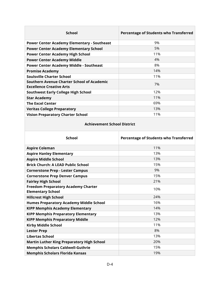| <b>School</b>                                                                 | Percentage of Students who Transferred |
|-------------------------------------------------------------------------------|----------------------------------------|
| <b>Power Center Academy Elementary - Southeast</b>                            | 9%                                     |
| <b>Power Center Academy Elementary School</b>                                 | 5%                                     |
| <b>Power Center Academy High School</b>                                       | 11%                                    |
| <b>Power Center Academy Middle</b>                                            | 4%                                     |
| <b>Power Center Academy Middle - Southeast</b>                                | 8%                                     |
| <b>Promise Academy</b>                                                        | 14%                                    |
| <b>Soulsville Charter School</b>                                              | 11%                                    |
| Southern Avenue Charter School of Academic<br><b>Excellence Creative Arts</b> | 7%                                     |
| <b>Southwest Early College High School</b>                                    | 12%                                    |
| <b>Star Academy</b>                                                           | 11%                                    |
| <b>The Excel Center</b>                                                       | 69%                                    |
| <b>Veritas College Preparatory</b>                                            | 13%                                    |
| <b>Vision Preparatory Charter School</b>                                      | 11%                                    |

#### **Achievement School District**

| <b>School</b>                                                          | Percentage of Students who Transferred |
|------------------------------------------------------------------------|----------------------------------------|
| <b>Aspire Coleman</b>                                                  | 11%                                    |
| <b>Aspire Hanley Elementary</b>                                        | 13%                                    |
| <b>Aspire Middle School</b>                                            | 13%                                    |
| <b>Brick Church: A LEAD Public School</b>                              | 15%                                    |
| <b>Cornerstone Prep - Lester Campus</b>                                | 9%                                     |
| <b>Cornerstone Prep Denver Campus</b>                                  | 15%                                    |
| <b>Fairley High School</b>                                             | 21%                                    |
| <b>Freedom Preparatory Academy Charter</b><br><b>Elementary School</b> | 10%                                    |
| <b>Hillcrest High School</b>                                           | 24%                                    |
| <b>Humes Preparatory Academy Middle School</b>                         | 16%                                    |
| <b>KIPP Memphis Academy Elementary</b>                                 | 14%                                    |
| <b>KIPP Memphis Preparatory Elementary</b>                             | 13%                                    |
| <b>KIPP Memphis Preparatory Middle</b>                                 | 12%                                    |
| <b>Kirby Middle School</b>                                             | 11%                                    |
| <b>Lester Prep</b>                                                     | 8%                                     |
| Libertas School                                                        | 13%                                    |
| <b>Martin Luther King Preparatory High School</b>                      | 20%                                    |
| <b>Memphis Scholars Caldwell-Guthrie</b>                               | 15%                                    |
| <b>Memphis Scholars Florida Kansas</b>                                 | 19%                                    |